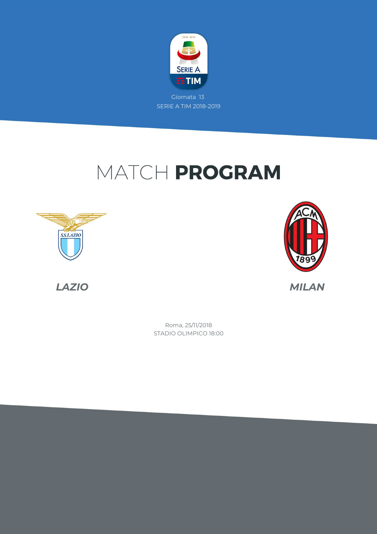

## MATCH PROGRAM







STADIO OLIMPICO 18:00 Roma, 25/11/2018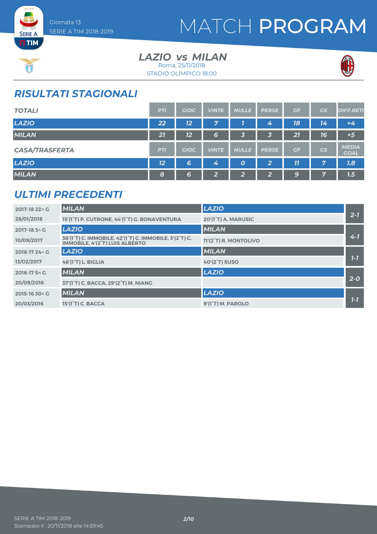

## MATCH PROGRAM



**SERIE A ETIM** 

> *LAZIO MILAN vs* STADIO OLIMPICO 18:00 Roma, 25/11/2018



### *RISULTATI STAGIONALI*

| <b>TOTALI</b>         | <b>PTI</b> | <b>GIOC</b> | <b>VINTE</b>   | <b>NULLE</b> | <b>PERSE</b>    | GF | <b>GS</b> | <b>DIFF.RETI</b>            |
|-----------------------|------------|-------------|----------------|--------------|-----------------|----|-----------|-----------------------------|
| <b>LAZIO</b>          | 22         | 12          | 7              |              | 4               | 18 | 14        | $+4$                        |
| <b>MILAN</b>          | 21         | 12          | 6              | 3            | 3               | 21 | 16        | $+5$                        |
| <b>CASA/TRASFERTA</b> | <b>PTI</b> | <b>GIOC</b> | <b>VINTE</b>   | <b>NULLE</b> | <b>PERSE</b>    | GF | GS        | <b>MEDIA</b><br><b>GOAL</b> |
| <b>LAZIO</b>          | 12         | 6           | 4              | 0            | 2               | 77 | 7         | 7.8                         |
| <b>MILAN</b>          | 8          | 6           | $\overline{2}$ | 2            | <u>ຼົ</u><br>74 | 9  | 7         | 1.5                         |

### *ULTIMI PRECEDENTI*

| 2017-18 22 \ G | <b>MILAN</b>                                                                             | <b>LAZIO</b>          |         |
|----------------|------------------------------------------------------------------------------------------|-----------------------|---------|
| 28/01/2018     | 15'(1°T) P. CUTRONE, 44'(1°T) G. BONAVENTURA                                             | 20'(1°T) A. MARUSIC   | $2 - 7$ |
| 2017-18 3 ^ G  | <b>LAZIO</b>                                                                             | <b>MILAN</b>          |         |
| 10/09/2017     | 38'(1°T) C. IMMOBILE, 42'(1°T) C. IMMOBILE, 3'(2°T) C.<br>IMMOBILE. 4'(2°T) LUIS ALBERTO | 11'(2°T) R. MONTOLIVO | $4 - 7$ |
| 2016-17 24 \ G | <b>LAZIO</b>                                                                             | <b>MILAN</b>          |         |
| 13/02/2017     | <b>46'(1°T) L. BIGLIA</b>                                                                | <b>40'(2°T) SUSO</b>  | $7 - 7$ |
| 2016-17 5 \ G  | <b>MILAN</b>                                                                             | <b>LAZIO</b>          |         |
| 20/09/2016     | 37'(1°T) C. BACCA, 29'(2°T) M. NIANG                                                     |                       | $2-0$   |
| 2015-16 30 \ G | <b>MILAN</b>                                                                             | <b>LAZIO</b>          |         |
| 20/03/2016     | 15'(1 <sup>°</sup> T) C. BACCA                                                           | 9'(1°T) M. PAROLO     | $7 - 7$ |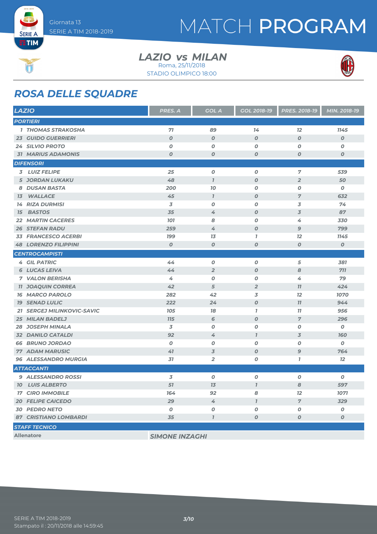

## MATCH PROGRAM



**SERIE A** 

#### *LAZIO MILAN vs* STADIO OLIMPICO 18:00 Roma, 25/11/2018





### *ROSA DELLE SQUADRE*

| <b>LAZIO</b>                      | PRES. A               | <b>GOL A</b>        | <b>GOL 2018-19</b> | PRES. 2018-19    | MIN. 2018-19     |
|-----------------------------------|-----------------------|---------------------|--------------------|------------------|------------------|
| <b>PORTIERI</b>                   |                       |                     |                    |                  |                  |
| <b>1 THOMAS STRAKOSHA</b>         | 71                    | 89                  | 14                 | 12               | 1145             |
| <b>23 GUIDO GUERRIERI</b>         | $\boldsymbol{O}$      | $\boldsymbol{0}$    | $\boldsymbol{O}$   | $\boldsymbol{O}$ | $\boldsymbol{o}$ |
| <b>24 SILVIO PROTO</b>            | $\boldsymbol{O}$      | $\boldsymbol{0}$    | $\boldsymbol{o}$   | O                | 0                |
| <b>31 MARIUS ADAMONIS</b>         | $\boldsymbol{O}$      | $\boldsymbol{O}$    | $\boldsymbol{O}$   | $\boldsymbol{O}$ | $\boldsymbol{o}$ |
| <b>DIFENSORI</b>                  |                       |                     |                    |                  |                  |
| 3 LUIZ FELIPE                     | 25                    | 0                   | $\boldsymbol{0}$   | $\overline{7}$   | 539              |
| <b>5 JORDAN LUKAKU</b>            | 48                    | $\boldsymbol{\eta}$ | $\boldsymbol{o}$   | $\overline{2}$   | 50               |
| 8 DUSAN BASTA                     | 200                   | 70                  | 0                  | 0                | 0                |
| <b>WALLACE</b><br>13 <sup>7</sup> | 45                    | $\mathbf{I}$        | $\boldsymbol{O}$   | $\overline{7}$   | 632              |
| <b>14 RIZA DURMISI</b>            | 3                     | $\boldsymbol{0}$    | $\boldsymbol{O}$   | 3                | 74               |
| <b>BASTOS</b><br>15               | 35                    | 4                   | $\boldsymbol{O}$   | 3                | 87               |
| <b>22 MARTIN CACERES</b>          | <b>101</b>            | 8                   | 0                  | 4                | 330              |
| <b>26 STEFAN RADU</b>             | 259                   | 4                   | $\boldsymbol{O}$   | 9                | 799              |
| <b>33 FRANCESCO ACERBI</b>        | <b>199</b>            | 13                  | $\mathbf{I}$       | 12               | 1145             |
| <b>48 LORENZO FILIPPINI</b>       | $\boldsymbol{O}$      | $\boldsymbol{O}$    | $\boldsymbol{O}$   | $\boldsymbol{O}$ | $\boldsymbol{o}$ |
| <b>CENTROCAMPISTI</b>             |                       |                     |                    |                  |                  |
| <b>4 GIL PATRIC</b>               | 44                    | 0                   | $\boldsymbol{o}$   | 5                | 381              |
| <b>6 LUCAS LEIVA</b>              | 44                    | $\overline{2}$      | $\boldsymbol{O}$   | 8                | 711              |
| <b>7 VALON BERISHA</b>            | 4                     | $\boldsymbol{0}$    | $\boldsymbol{O}$   | 4                | 79               |
| <b>11 JOAQUIN CORREA</b>          | 42                    | 5                   | $\overline{2}$     | 77               | 424              |
| <b>16 MARCO PAROLO</b>            | 282                   | 42                  | 3                  | 12               | 1070             |
| <b>19 SENAD LULIC</b>             | 222                   | 24                  | $\boldsymbol{O}$   | 77               | 944              |
| 21 SERGEJ MILINKOVIC-SAVIC        | <b>105</b>            | 18                  | $\mathbf{I}$       | 77               | 956              |
| 25 MILAN BADELJ                   | <b>715</b>            | 6                   | $\boldsymbol{O}$   | $\overline{7}$   | 296              |
| <b>28 JOSEPH MINALA</b>           | 3                     | $\boldsymbol{0}$    | $\boldsymbol{o}$   | 0                | 0                |
| <b>32 DANILO CATALDI</b>          | 92                    | 4                   | $\overline{I}$     | 3                | <b>160</b>       |
| <b>66 BRUNO JORDAO</b>            | $\boldsymbol{O}$      | $\boldsymbol{0}$    | $\boldsymbol{O}$   | O                | 0                |
| <b>77 ADAM MARUSIC</b>            | 41                    | 3                   | $\boldsymbol{o}$   | 9                | 764              |
| <b>96 ALESSANDRO MURGIA</b>       | 31                    | $\overline{2}$      | 0                  | $\mathbf{7}$     | 12               |
| <b>ATTACCANTI</b>                 |                       |                     |                    |                  |                  |
| 9 ALESSANDRO ROSSI                | 3                     | $\pmb{o}$           | $\pmb{o}$          | O                | 0                |
| <b>10 LUIS ALBERTO</b>            | 51                    | 13                  | $\overline{1}$     | 8                | 597              |
| <b>17 CIRO IMMOBILE</b>           | 164                   | 92                  | 8                  | $12 \,$          | 1071             |
| <b>20 FELIPE CAICEDO</b>          | 29                    | $\measuredangle$    | $\mathbf{I}$       | $\overline{7}$   | 329              |
| <b>30 PEDRO NETO</b>              | $\boldsymbol{o}$      | $\boldsymbol{O}$    | $\pmb{o}$          | O                | 0                |
| <b>87 CRISTIANO LOMBARDI</b>      | 35                    | $\mathbf{I}$        | $\boldsymbol{O}$   | $\boldsymbol{O}$ | $\boldsymbol{0}$ |
| <b>STAFF TECNICO</b>              |                       |                     |                    |                  |                  |
| <b>Allenatore</b>                 | <b>SIMONE INZAGHI</b> |                     |                    |                  |                  |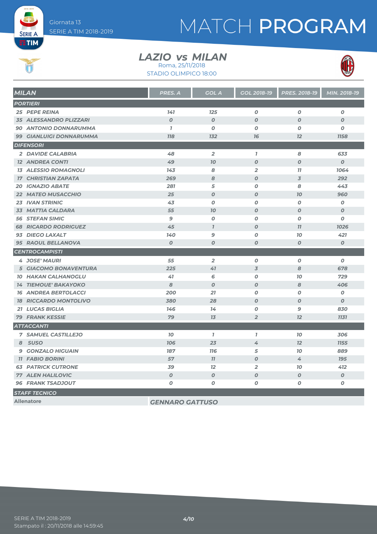## MATCH PROGRAM



**SERIE A** 

### *LAZIO MILAN vs*

STADIO OLIMPICO 18:00 Roma, 25/11/2018



| 141<br>125<br>$\boldsymbol{o}$<br>$\boldsymbol{o}$<br>$\boldsymbol{o}$<br>25 PEPE REINA<br>$\overline{O}$<br>$\boldsymbol{0}$<br>$\boldsymbol{O}$<br>$\boldsymbol{O}$<br>$\boldsymbol{O}$<br><b>35 ALESSANDRO PLIZZARI</b><br>$\mathbf{7}$<br>$\boldsymbol{o}$<br>$\boldsymbol{0}$<br>$\boldsymbol{o}$<br>90 ANTONIO DONNARUMMA<br>O<br><b>778</b><br>12<br><b>99 GIANLUIGI DONNARUMMA</b><br><b>132</b><br>76<br><b>1158</b><br>$\overline{2}$<br>2 DAVIDE CALABRIA<br>48<br>$\mathbf{I}$<br>8<br>633<br>$\boldsymbol{O}$<br>49<br>70<br>$\boldsymbol{O}$<br>$\boldsymbol{O}$<br><b>12 ANDREA CONTI</b><br>8<br>$\overline{2}$<br>1064<br><b>13 ALESSIO ROMAGNOLI</b><br>143<br>11<br>8<br>$\boldsymbol{O}$<br>$\overline{3}$<br>292<br><b>17 CHRISTIAN ZAPATA</b><br>269<br>281<br>5<br>$\boldsymbol{O}$<br>8<br>443<br><b>20 IGNAZIO ABATE</b><br>25<br>$\boldsymbol{0}$<br>960<br><b>22 MATEO MUSACCHIO</b><br>$\boldsymbol{O}$<br>70<br>$\boldsymbol{0}$<br>$\boldsymbol{O}$<br><b>23 IVAN STRINIC</b><br>43<br>O<br>0<br>55<br>$\boldsymbol{O}$<br>$\boldsymbol{O}$<br><b>33 MATTIA CALDARA</b><br><b>70</b><br>$\boldsymbol{O}$<br><b>56 STEFAN SIMIC</b><br>9<br>$\boldsymbol{o}$<br>$\boldsymbol{O}$<br>$\boldsymbol{o}$<br>0<br><b>68 RICARDO RODRIGUEZ</b><br>45<br>$\mathbf{7}$<br>$\boldsymbol{0}$<br>77<br>1026<br>93 DIEGO LAXALT<br>140<br>9<br>70<br>421<br>0<br>$\pmb{\mathit{O}}$<br>95 RAOUL BELLANOVA<br>$\boldsymbol{O}$<br>$\boldsymbol{o}$<br>$\boldsymbol{0}$<br>$\boldsymbol{O}$ | <b>MILAN</b>          | PRES. A | <b>GOL A</b> | <b>GOL 2018-19</b> | PRES. 2018-19 | MIN. 2018-19 |
|------------------------------------------------------------------------------------------------------------------------------------------------------------------------------------------------------------------------------------------------------------------------------------------------------------------------------------------------------------------------------------------------------------------------------------------------------------------------------------------------------------------------------------------------------------------------------------------------------------------------------------------------------------------------------------------------------------------------------------------------------------------------------------------------------------------------------------------------------------------------------------------------------------------------------------------------------------------------------------------------------------------------------------------------------------------------------------------------------------------------------------------------------------------------------------------------------------------------------------------------------------------------------------------------------------------------------------------------------------------------------------------------------------------------------------------------------------------------------------------------------------|-----------------------|---------|--------------|--------------------|---------------|--------------|
|                                                                                                                                                                                                                                                                                                                                                                                                                                                                                                                                                                                                                                                                                                                                                                                                                                                                                                                                                                                                                                                                                                                                                                                                                                                                                                                                                                                                                                                                                                            | <b>PORTIERI</b>       |         |              |                    |               |              |
|                                                                                                                                                                                                                                                                                                                                                                                                                                                                                                                                                                                                                                                                                                                                                                                                                                                                                                                                                                                                                                                                                                                                                                                                                                                                                                                                                                                                                                                                                                            |                       |         |              |                    |               |              |
|                                                                                                                                                                                                                                                                                                                                                                                                                                                                                                                                                                                                                                                                                                                                                                                                                                                                                                                                                                                                                                                                                                                                                                                                                                                                                                                                                                                                                                                                                                            |                       |         |              |                    |               |              |
|                                                                                                                                                                                                                                                                                                                                                                                                                                                                                                                                                                                                                                                                                                                                                                                                                                                                                                                                                                                                                                                                                                                                                                                                                                                                                                                                                                                                                                                                                                            |                       |         |              |                    |               |              |
|                                                                                                                                                                                                                                                                                                                                                                                                                                                                                                                                                                                                                                                                                                                                                                                                                                                                                                                                                                                                                                                                                                                                                                                                                                                                                                                                                                                                                                                                                                            |                       |         |              |                    |               |              |
|                                                                                                                                                                                                                                                                                                                                                                                                                                                                                                                                                                                                                                                                                                                                                                                                                                                                                                                                                                                                                                                                                                                                                                                                                                                                                                                                                                                                                                                                                                            | <b>DIFENSORI</b>      |         |              |                    |               |              |
|                                                                                                                                                                                                                                                                                                                                                                                                                                                                                                                                                                                                                                                                                                                                                                                                                                                                                                                                                                                                                                                                                                                                                                                                                                                                                                                                                                                                                                                                                                            |                       |         |              |                    |               |              |
|                                                                                                                                                                                                                                                                                                                                                                                                                                                                                                                                                                                                                                                                                                                                                                                                                                                                                                                                                                                                                                                                                                                                                                                                                                                                                                                                                                                                                                                                                                            |                       |         |              |                    |               |              |
|                                                                                                                                                                                                                                                                                                                                                                                                                                                                                                                                                                                                                                                                                                                                                                                                                                                                                                                                                                                                                                                                                                                                                                                                                                                                                                                                                                                                                                                                                                            |                       |         |              |                    |               |              |
|                                                                                                                                                                                                                                                                                                                                                                                                                                                                                                                                                                                                                                                                                                                                                                                                                                                                                                                                                                                                                                                                                                                                                                                                                                                                                                                                                                                                                                                                                                            |                       |         |              |                    |               |              |
|                                                                                                                                                                                                                                                                                                                                                                                                                                                                                                                                                                                                                                                                                                                                                                                                                                                                                                                                                                                                                                                                                                                                                                                                                                                                                                                                                                                                                                                                                                            |                       |         |              |                    |               |              |
|                                                                                                                                                                                                                                                                                                                                                                                                                                                                                                                                                                                                                                                                                                                                                                                                                                                                                                                                                                                                                                                                                                                                                                                                                                                                                                                                                                                                                                                                                                            |                       |         |              |                    |               |              |
|                                                                                                                                                                                                                                                                                                                                                                                                                                                                                                                                                                                                                                                                                                                                                                                                                                                                                                                                                                                                                                                                                                                                                                                                                                                                                                                                                                                                                                                                                                            |                       |         |              |                    |               |              |
|                                                                                                                                                                                                                                                                                                                                                                                                                                                                                                                                                                                                                                                                                                                                                                                                                                                                                                                                                                                                                                                                                                                                                                                                                                                                                                                                                                                                                                                                                                            |                       |         |              |                    |               |              |
|                                                                                                                                                                                                                                                                                                                                                                                                                                                                                                                                                                                                                                                                                                                                                                                                                                                                                                                                                                                                                                                                                                                                                                                                                                                                                                                                                                                                                                                                                                            |                       |         |              |                    |               |              |
|                                                                                                                                                                                                                                                                                                                                                                                                                                                                                                                                                                                                                                                                                                                                                                                                                                                                                                                                                                                                                                                                                                                                                                                                                                                                                                                                                                                                                                                                                                            |                       |         |              |                    |               |              |
|                                                                                                                                                                                                                                                                                                                                                                                                                                                                                                                                                                                                                                                                                                                                                                                                                                                                                                                                                                                                                                                                                                                                                                                                                                                                                                                                                                                                                                                                                                            |                       |         |              |                    |               |              |
|                                                                                                                                                                                                                                                                                                                                                                                                                                                                                                                                                                                                                                                                                                                                                                                                                                                                                                                                                                                                                                                                                                                                                                                                                                                                                                                                                                                                                                                                                                            |                       |         |              |                    |               |              |
|                                                                                                                                                                                                                                                                                                                                                                                                                                                                                                                                                                                                                                                                                                                                                                                                                                                                                                                                                                                                                                                                                                                                                                                                                                                                                                                                                                                                                                                                                                            | <b>CENTROCAMPISTI</b> |         |              |                    |               |              |
| $\overline{2}$<br><b>4 JOSE' MAURI</b><br>55<br>0<br>$\boldsymbol{O}$<br>$\boldsymbol{o}$                                                                                                                                                                                                                                                                                                                                                                                                                                                                                                                                                                                                                                                                                                                                                                                                                                                                                                                                                                                                                                                                                                                                                                                                                                                                                                                                                                                                                  |                       |         |              |                    |               |              |
| 41<br>$\overline{3}$<br>8<br>678<br><b>5 GIACOMO BONAVENTURA</b><br>225                                                                                                                                                                                                                                                                                                                                                                                                                                                                                                                                                                                                                                                                                                                                                                                                                                                                                                                                                                                                                                                                                                                                                                                                                                                                                                                                                                                                                                    |                       |         |              |                    |               |              |
| 729<br><b>10 HAKAN CALHANOGLU</b><br>41<br>6<br>0<br>10                                                                                                                                                                                                                                                                                                                                                                                                                                                                                                                                                                                                                                                                                                                                                                                                                                                                                                                                                                                                                                                                                                                                                                                                                                                                                                                                                                                                                                                    |                       |         |              |                    |               |              |
| <b>14 TIEMOUE' BAKAYOKO</b><br>8<br>$\boldsymbol{0}$<br>$\boldsymbol{0}$<br>8<br>406                                                                                                                                                                                                                                                                                                                                                                                                                                                                                                                                                                                                                                                                                                                                                                                                                                                                                                                                                                                                                                                                                                                                                                                                                                                                                                                                                                                                                       |                       |         |              |                    |               |              |
| <b>16 ANDREA BERTOLACCI</b><br>200<br>21<br>0<br>O<br>$\boldsymbol{o}$                                                                                                                                                                                                                                                                                                                                                                                                                                                                                                                                                                                                                                                                                                                                                                                                                                                                                                                                                                                                                                                                                                                                                                                                                                                                                                                                                                                                                                     |                       |         |              |                    |               |              |
| <b>18 RICCARDO MONTOLIVO</b><br>380<br>28<br>$\boldsymbol{O}$<br>$\boldsymbol{O}$<br>$\boldsymbol{O}$                                                                                                                                                                                                                                                                                                                                                                                                                                                                                                                                                                                                                                                                                                                                                                                                                                                                                                                                                                                                                                                                                                                                                                                                                                                                                                                                                                                                      |                       |         |              |                    |               |              |
| 21 LUCAS BIGLIA<br>146<br>14<br>O<br>$\mathbf{9}$<br>830                                                                                                                                                                                                                                                                                                                                                                                                                                                                                                                                                                                                                                                                                                                                                                                                                                                                                                                                                                                                                                                                                                                                                                                                                                                                                                                                                                                                                                                   |                       |         |              |                    |               |              |
| <b>79 FRANK KESSIE</b><br>79<br>13<br>$\overline{2}$<br>12<br><b>1131</b>                                                                                                                                                                                                                                                                                                                                                                                                                                                                                                                                                                                                                                                                                                                                                                                                                                                                                                                                                                                                                                                                                                                                                                                                                                                                                                                                                                                                                                  |                       |         |              |                    |               |              |
|                                                                                                                                                                                                                                                                                                                                                                                                                                                                                                                                                                                                                                                                                                                                                                                                                                                                                                                                                                                                                                                                                                                                                                                                                                                                                                                                                                                                                                                                                                            | <b>ATTACCANTI</b>     |         |              |                    |               |              |
| $\mathbf{7}$<br>306<br><b>7 SAMUEL CASTILLEJO</b><br>10<br>$\mathbf{I}$<br>70                                                                                                                                                                                                                                                                                                                                                                                                                                                                                                                                                                                                                                                                                                                                                                                                                                                                                                                                                                                                                                                                                                                                                                                                                                                                                                                                                                                                                              |                       |         |              |                    |               |              |
| 12<br><b>106</b><br>23<br>4<br><b>1155</b><br>8 SUSO                                                                                                                                                                                                                                                                                                                                                                                                                                                                                                                                                                                                                                                                                                                                                                                                                                                                                                                                                                                                                                                                                                                                                                                                                                                                                                                                                                                                                                                       |                       |         |              |                    |               |              |
| 889<br>187<br>5<br>70<br><b>9 GONZALO HIGUAIN</b><br><b>116</b>                                                                                                                                                                                                                                                                                                                                                                                                                                                                                                                                                                                                                                                                                                                                                                                                                                                                                                                                                                                                                                                                                                                                                                                                                                                                                                                                                                                                                                            |                       |         |              |                    |               |              |
| 57<br>11<br>$\boldsymbol{O}$<br>4<br><b>195</b><br><b>11 FABIO BORINI</b>                                                                                                                                                                                                                                                                                                                                                                                                                                                                                                                                                                                                                                                                                                                                                                                                                                                                                                                                                                                                                                                                                                                                                                                                                                                                                                                                                                                                                                  |                       |         |              |                    |               |              |
| <b>63 PATRICK CUTRONE</b><br>39<br>12<br>$\overline{2}$<br>10<br>412                                                                                                                                                                                                                                                                                                                                                                                                                                                                                                                                                                                                                                                                                                                                                                                                                                                                                                                                                                                                                                                                                                                                                                                                                                                                                                                                                                                                                                       |                       |         |              |                    |               |              |
| $\boldsymbol{O}$<br>$\boldsymbol{O}$<br>$\boldsymbol{O}$<br>$\boldsymbol{O}$<br>$\boldsymbol{O}$<br><b>77 ALEN HALILOVIC</b>                                                                                                                                                                                                                                                                                                                                                                                                                                                                                                                                                                                                                                                                                                                                                                                                                                                                                                                                                                                                                                                                                                                                                                                                                                                                                                                                                                               |                       |         |              |                    |               |              |
| 0<br>0<br>0<br>O<br>O<br><b>96 FRANK TSADJOUT</b>                                                                                                                                                                                                                                                                                                                                                                                                                                                                                                                                                                                                                                                                                                                                                                                                                                                                                                                                                                                                                                                                                                                                                                                                                                                                                                                                                                                                                                                          |                       |         |              |                    |               |              |
|                                                                                                                                                                                                                                                                                                                                                                                                                                                                                                                                                                                                                                                                                                                                                                                                                                                                                                                                                                                                                                                                                                                                                                                                                                                                                                                                                                                                                                                                                                            | <b>STAFF TECNICO</b>  |         |              |                    |               |              |

**Allenatore** *GENNARO GATTUSO*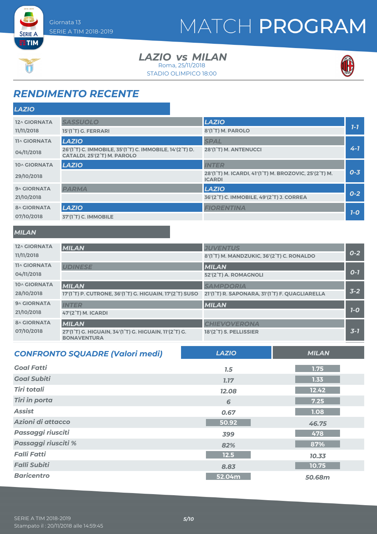## MATCH PROGRAM



**SERIE A** 

*LAZIO MILAN vs* STADIO OLIMPICO 18:00 Roma, 25/11/2018



## *RENDIMENTO RECENTE*

| <b>LAZIO</b>        |                                                                                        |                                                                        |         |
|---------------------|----------------------------------------------------------------------------------------|------------------------------------------------------------------------|---------|
| 12^ GIORNATA        | <b>SASSUOLO</b>                                                                        | <b>LAZIO</b>                                                           |         |
| 11/11/2018          | 15'(1°T) G. FERRARI                                                                    | 8'(1 <sup>°</sup> T) M. PAROLO                                         | $7-7$   |
| <b>11^ GIORNATA</b> | <b>LAZIO</b>                                                                           | <b>SPAL</b>                                                            |         |
| 04/11/2018          | 26'(1°T) C. IMMOBILE, 35'(1°T) C. IMMOBILE, 14'(2°T) D.<br>CATALDI, 25'(2°T) M. PAROLO | 28'(1°T) M. ANTENUCCI                                                  | $4 - 1$ |
| 10^ GIORNATA        | <b>LAZIO</b>                                                                           | <b>INTER</b>                                                           |         |
| 29/10/2018          |                                                                                        | 28'(1°T) M. ICARDI, 41'(1°T) M. BROZOVIC, 25'(2°T) M.<br><b>ICARDI</b> | $0 - 3$ |
| 9^ GIORNATA         | <b>PARMA</b>                                                                           | <b>LAZIO</b>                                                           |         |
| 21/10/2018          |                                                                                        | 36'(2°T) C. IMMOBILE, 49'(2°T) J. CORREA                               | $0-2$   |
| <b>8^ GIORNATA</b>  | <b>LAZIO</b>                                                                           | <b>FIORENTINA</b>                                                      |         |
| 07/10/2018          | 37'(1 <sup>°</sup> T) C. IMMOBILE                                                      |                                                                        | $7-0$   |
|                     |                                                                                        |                                                                        |         |

#### *MILAN*

| 12^ GIORNATA<br>11/11/2018        | <b>MILAN</b>                                                                                                   | <b>JUVENTUS</b><br>8'(1°T) M. MANDZUKIC, 36'(2°T) C. RONALDO       | $0 - 2$ |
|-----------------------------------|----------------------------------------------------------------------------------------------------------------|--------------------------------------------------------------------|---------|
| <b>11^ GIORNATA</b><br>04/11/2018 | <b>UDINESE</b>                                                                                                 | <b>MILAN</b><br>52'(2°T) A. ROMAGNOLI                              | $O - 7$ |
| 10^ GIORNATA<br>28/10/2018        | <b>MILAN</b><br>17'(1 <sup>°</sup> T) P. CUTRONE, 36'(1 <sup>°</sup> T) G. HIGUAIN, 17'(2 <sup>°</sup> T) SUSO | <b>SAMPDORIA</b><br>21'(1°T) R. SAPONARA, 31'(1°T) F. QUAGLIARELLA | $3 - 2$ |
| 9^ GIORNATA<br>21/10/2018         | <b>INTER</b><br>47'(2°T) M. ICARDI                                                                             | <b>MILAN</b>                                                       | $7-0$   |
| <b>8^ GIORNATA</b><br>07/10/2018  | <b>MILAN</b><br>27'(1°T) G. HIGUAIN, 34'(1°T) G. HIGUAIN, 11'(2°T) G.<br><b>BONAVENTURA</b>                    | <b>CHIEVOVERONA</b><br>18'(2 <sup>°</sup> T) S. PELLISSIER         | $3 - 7$ |

| <b>CONFRONTO SQUADRE (Valori medi)</b> | <b>LAZIO</b> | <b>MILAN</b> |
|----------------------------------------|--------------|--------------|
| <b>Goal Fatti</b>                      | 7.5          | 1.75         |
| <b>Goal Subiti</b>                     | 7.17         | 1.33         |
| <b>Tiri totali</b>                     | 12.08        | 12.42        |
| <b>Tiri in porta</b>                   | 6            | 7.25         |
| <b>Assist</b>                          | 0.67         | 1.08         |
| Azioni di attacco                      | 50.92        | 46.75        |
| Passaggi riusciti                      | 399          | 478          |
| Passaggi riusciti %                    | 82%          | 87%          |
| <b>Falli Fatti</b>                     | $12.5$       | 10.33        |
| <b>Falli Subiti</b>                    | 8.83         | 10.75        |
| <b>Baricentro</b>                      | 52.04m       | 50.68m       |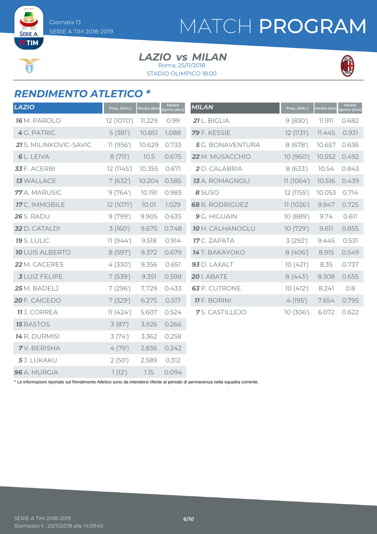SERIE A  $ETIM$ 

## MATCH PROGRAM

#### *LAZIO MILAN vs* Roma, 25/11/2018

STADIO OLIMPICO 18:00



### *RENDIMENTO ATLETICO \**

| <b>LAZIO</b>           | Pres. (Min.) | Media (km) | <b>Media</b><br>print (Km) | <b>MILAN</b>            | Pres. (Min.) | Media (km) | <b>Media</b><br>Sprint (Km) |
|------------------------|--------------|------------|----------------------------|-------------------------|--------------|------------|-----------------------------|
| <b>16</b> M. PAROLO    | 12 (1070')   | 11.229     | 0.99                       | 21 L. BIGLIA            | 9(830)       | 11.911     | 0.682                       |
| 4 G. PATRIC            | 5(381)       | 10.851     | 1.088                      | 79 F. KESSIE            | 12 (1131')   | 11.445     | 0.931                       |
| 21 S. MILINKOVIC-SAVIC | 11 (956')    | 10.629     | 0.733                      | 5 G. BONAVENTURA        | 8(678)       | 10.657     | 0.636                       |
| <b>6</b> L. LEIVA      | 8(711)       | 10.5       | 0.675                      | 22 M. MUSACCHIO         | 10 (960')    | 10.552     | 0.492                       |
| 33 F. ACERBI           | 12 (1145')   | 10.355     | 0.671                      | 2 D. CALABRIA           | 8(633)       | 10.54      | 0.843                       |
| <b>13 WALLACE</b>      | 7(632)       | 10.204     | 0.585                      | <b>13</b> A. ROMAGNOLI  | 11(1064)     | 10.516     | 0.439                       |
| 77 A. MARUSIC          | 9(764)       | 10.191     | 0.983                      | 8 SUSO                  | 12 (1155')   | 10.053     | 0.714                       |
| 17 C. IMMOBILE         | 12 (1071')   | 10.01      | 1.029                      | <b>68</b> R. RODRIGUEZ  | 11(1026')    | 9.947      | 0.725                       |
| <b>26</b> S. RADU      | 9(799')      | 9.905      | 0.635                      | 9 G. HIGUAIN            | 10(889')     | 9.74       | 0.611                       |
| <b>32</b> D. CATALDI   | 3(160)       | 9.675      | 0.748                      | <b>10 H. CALHANOGLU</b> | 10(729')     | 9.611      | 0.855                       |
| <b>19</b> S. LULIC     | 11(944)      | 9.518      | 0.914                      | <b>17</b> C. ZAPATA     | 3(292)       | 9.445      | 0.531                       |
| <b>10 LUIS ALBERTO</b> | 8 (597')     | 9.372      | 0.679                      | 14 T. BAKAYOKO          | 8(406)       | 8.915      | 0.549                       |
| 22 M. CACERES          | 4(330)       | 9.356      | 0.651                      | 93 D. LAXALT            | 10(421)      | 8.35       | 0.737                       |
| <b>3</b> LUIZ FELIPE   | 7(539)       | 9.351      | 0.598                      | <b>20</b> I. ABATE      | 8(443)       | 8.308      | 0.655                       |
| 25 M. BADELJ           | 7(296)       | 7.729      | 0.433                      | 63 P. CUTRONE           | 10(412)      | 8.241      | 0.8                         |
| 20 F. CAICEDO          | 7(329)       | 6.275      | 0.517                      | <b>11</b> F. BORINI     | 4(195)       | 7.654      | 0.795                       |
| <b>11</b> J. CORREA    | 11(424)      | 5.607      | 0.524                      | 7S. CASTILLEJO          | 10 (306')    | 6.072      | 0.622                       |
| <b>15 BASTOS</b>       | 3(87)        | 3.926      | 0.266                      |                         |              |            |                             |
| 14 R. DURMISI          | 3(74)        | 3.362      | 0.258                      |                         |              |            |                             |
| <b>7</b> V. BERISHA    | 4(79)        | 2.836      | 0.242                      |                         |              |            |                             |
| 5J. LUKAKU             | 2(50)        | 2.589      | 0.312                      |                         |              |            |                             |
| 96 A. MURGIA           | 1(12')       | 7.15       | 0.094                      |                         |              |            |                             |

\* Le informazioni riportate sul Rendimento Atletico sono da intendersi riferite al periodo di permanenza nella squadra corrente.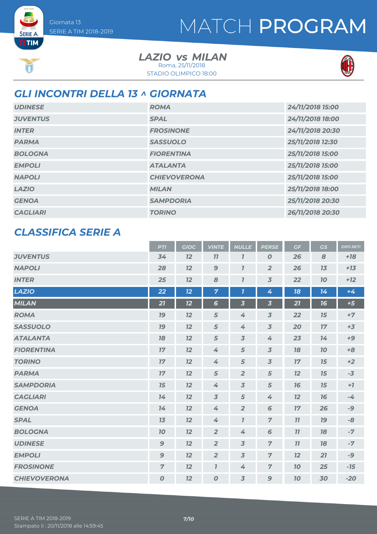**SERIE A ETIM** 

 $\begin{bmatrix}\n\frac{\sqrt{1+\sqrt{2}}}{2}\\
\frac{\sqrt{1+\sqrt{2}}}{2}\n\end{bmatrix}$ 

## MATCH PROGRAM

*LAZIO MILAN vs* Roma, 25/11/2018





### *GLI INCONTRI DELLA 13 ^ GIORNATA*

| <b>UDINESE</b>  | <b>ROMA</b>         | 24/11/2018 15:00 |
|-----------------|---------------------|------------------|
| <b>JUVENTUS</b> | <b>SPAL</b>         | 24/11/2018 18:00 |
| <b>INTER</b>    | <b>FROSINONE</b>    | 24/11/2018 20:30 |
| <b>PARMA</b>    | <b>SASSUOLO</b>     | 25/11/2018 12:30 |
| <b>BOLOGNA</b>  | <b>FIORENTINA</b>   | 25/11/2018 15:00 |
| <b>EMPOLI</b>   | <b>ATALANTA</b>     | 25/11/2018 15:00 |
| <b>NAPOLI</b>   | <b>CHIEVOVERONA</b> | 25/11/2018 15:00 |
| <b>LAZIO</b>    | <b>MILAN</b>        | 25/11/2018 18:00 |
| <b>GENOA</b>    | <b>SAMPDORIA</b>    | 25/11/2018 20:30 |
| <b>CAGLIARI</b> | <b>TORINO</b>       | 26/11/2018 20:30 |

### *CLASSIFICA SERIE A*

|                     | <b>PTI</b>       | <b>GIOC</b> | <b>VINTE</b>        | <b>NULLE</b>            | <b>PERSE</b>            | GF | GS        | <b>DIFF.RETI</b> |
|---------------------|------------------|-------------|---------------------|-------------------------|-------------------------|----|-----------|------------------|
| <b>JUVENTUS</b>     | 34               | 12          | 77                  | $\overline{\mathbf{I}}$ | $\boldsymbol{o}$        | 26 | 8         | $+18$            |
| <b>NAPOLI</b>       | 28               | 12          | $\mathbf{9}$        | $\overline{I}$          | $\overline{2}$          | 26 | 13        | $+13$            |
| <b>INTER</b>        | 25               | 12          | 8                   | $\overline{I}$          | $\overline{3}$          | 22 | 70        | $+12$            |
| <b>LAZIO</b>        | 22               | 12          | $\overline{7}$      | $\overline{\mathbf{I}}$ | 4                       | 18 | 14        | $+4$             |
| <b>MILAN</b>        | 21               | 12          | $6\phantom{1}6$     | $\overline{\mathbf{3}}$ | $\overline{\mathbf{3}}$ | 21 | 16        | $+5$             |
| <b>ROMA</b>         | 19               | 12          | 5                   | 4                       | $\overline{3}$          | 22 | 15        | $+7$             |
| <b>SASSUOLO</b>     | 19               | 12          | 5                   | 4                       | $\overline{3}$          | 20 | 17        | $+3$             |
| <b>ATALANTA</b>     | 78               | 12          | 5                   | $\overline{3}$          | 4                       | 23 | 14        | $+9$             |
| <b>FIORENTINA</b>   | 17               | 12          | 4                   | 5                       | $\overline{3}$          | 78 | 70        | $+8$             |
| <b>TORINO</b>       | 17               | 12          | 4                   | 5                       | $\overline{3}$          | 17 | 15        | $+2$             |
| <b>PARMA</b>        | 17               | 12          | 5                   | $\overline{2}$          | 5                       | 12 | 15        | $-3$             |
| <b>SAMPDORIA</b>    | 15               | 12          | 4                   | $\overline{3}$          | 5                       | 76 | 15        | $+7$             |
| <b>CAGLIARI</b>     | 14               | 12          | $\overline{3}$      | 5                       | 4                       | 12 | 76        | $-4$             |
| <b>GENOA</b>        | 14               | 12          | 4                   | $\overline{2}$          | 6                       | 17 | 26        | -9               |
| <b>SPAL</b>         | 13               | 12          | 4                   | $\overline{I}$          | $\overline{7}$          | 77 | <b>19</b> | $-8$             |
| <b>BOLOGNA</b>      | 10               | 12          | $\overline{2}$      | 4                       | 6                       | 11 | 18        | $-7$             |
| <b>UDINESE</b>      | $\boldsymbol{9}$ | 12          | $\overline{2}$      | $\overline{3}$          | $\overline{z}$          | 77 | 78        | $-7$             |
| <b>EMPOLI</b>       | $\mathbf{9}$     | 12          | $\overline{2}$      | 3                       | $\overline{7}$          | 12 | 21        | $-9$             |
| <b>FROSINONE</b>    | $\overline{7}$   | 12          | $\boldsymbol{\eta}$ | 4                       | $\overline{z}$          | 10 | 25        | $-15$            |
| <b>CHIEVOVERONA</b> | $\pmb{o}$        | 12          | $\boldsymbol{o}$    | $\overline{3}$          | $\mathbf{9}$            | 70 | 30        | $-20$            |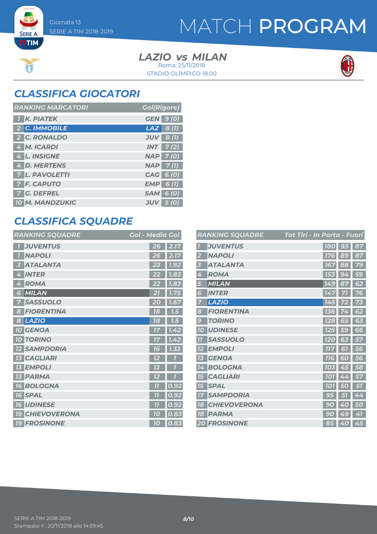**SERIE A ETIM** 

 $\begin{bmatrix} x_1 & x_2 \\ x_3 & x_4 \end{bmatrix}$ 

## MATCH PROGRAM

*LAZIO MILAN vs* STADIO OLIMPICO 18:00 Roma, 25/11/2018



### *CLASSIFICA GIOCATORI*

| <b>RANKING MARCATORI</b> | <b>Gol(Rigore)</b>         |
|--------------------------|----------------------------|
| <b>K. PIATEK</b>         | <b>GEN 9 (0)</b>           |
| 2 C. IMMOBILE            | $LAZ$ 8 (1)                |
| 2 C. RONALDO             | $JUV$ 8 (1)                |
| 4 M. ICARDI              | $INT$ 7(2)                 |
| 4 L. INSIGNE             | <b>NAP 7(0)</b>            |
| 4 D. MERTENS             | $NAP$ 7(1)                 |
| <b>7 L. PAVOLETTI</b>    | CAG 6 (0)                  |
| <b>7 F. CAPUTO</b>       | $EMP$ 6(1)                 |
| 7 G. DEFREL              | <b>SAM 6 (0)</b>           |
| <b>10 M. MANDZUKIC</b>   | <b>JUV</b><br><b>5</b> (0) |

### *CLASSIFICA SQUADRE*

| <b>RANKING SQUADRE</b>           | <b>Gol - Media Gol</b> |      |
|----------------------------------|------------------------|------|
| <b>JUVENTUS</b>                  | 26                     | 2.17 |
| <b>NAPOLI</b>                    | 26                     | 2.17 |
| <b>ATALANTA</b><br>3             | 23                     | 1.92 |
| <b>INTER</b><br>4                | 22                     | 7.83 |
| <b>ROMA</b><br>4                 | 22                     | 1.83 |
| MILAN<br>6                       | 21                     | 1.75 |
| <b>SASSUOLO</b><br>7             | 20                     | 7.67 |
| <b>FIORENTINA</b><br>8           | 18                     | 7.5  |
| <b>LAZIO</b><br>8                | 18                     | 7.5  |
| <b>10 GENOA</b>                  | 77                     | 7.42 |
| <b>10 TORINO</b>                 | 17                     | 1.42 |
| <b>SAMPDORIA</b><br><b>12</b>    | 16                     | 1.33 |
| <b>CAGLIARI</b><br><b>13</b>     | 12                     |      |
| <b>EMPOLI</b><br><b>13</b>       | 12                     |      |
| <b>PARMA</b><br>13               | 12                     |      |
| <b>BOLOGNA</b><br><b>16</b>      | $\overline{11}$        | 0.92 |
| <b>SPAL</b><br><b>16</b>         | $\overline{11}$        | 0.92 |
| <b>16 UDINESE</b>                | 77                     | 0.92 |
| <b>CHIEVOVERONA</b><br><b>19</b> | 10                     | 0.83 |
| <b>19 FROSINONE</b>              | 10                     | 0.83 |

|                | <b>RANKING SQUADRE</b> | Tot Tiri - In Porta - Fuori |           |    |
|----------------|------------------------|-----------------------------|-----------|----|
|                | <b>JUVENTUS</b>        | <b>180</b>                  | 93        | 87 |
| 2              | <b>NAPOLI</b>          | 176                         | 89        | 87 |
| 3              | <b>ATALANTA</b>        | 167                         | 88        | 79 |
| 4              | <b>ROMA</b>            | 153                         | 94        | 59 |
| 5              | <b>MILAN</b>           | 149                         | 87        | 62 |
| 6              | <b>INTER</b>           | 147                         | 71        | 76 |
| 7              | <b>LAZIO</b>           | 145                         |           | 73 |
| 8              | <b>FIORENTINA</b>      | 136                         |           | 62 |
| 9              | <b>TORINO</b>          | <b>128</b>                  | 65        | 63 |
| <b>10</b>      | <b>UDINESE</b>         | 125                         | <b>59</b> | 66 |
| $\overline{1}$ | <b>SASSUOLO</b>        | <b>120</b>                  | 63        | 57 |
| 12             | <b>EMPOLI</b>          | <b>777</b>                  | 51        | 56 |
| 13             | <b>GENOA</b>           | 116                         | 60        | 56 |
| 14             | <b>BOLOGNA</b>         | <b>103</b>                  | 45        | 58 |
| <b>15</b>      | <b>CAGLIARI</b>        | <b>101</b>                  | 4<br>4    | 57 |
| 15             | <b>SPAL</b>            | <b>101</b>                  | 0         | 57 |
| 17             | <b>SAMPDORIA</b>       | 95                          | 57        | 44 |
| 18             | <b>CHIEVOVERONA</b>    | 9<br>O                      | 40        | 50 |
| 18             | <b>PARMA</b>           | 90                          | 49        | 41 |
|                | <b>20 FROSINONE</b>    | 85                          | 40        | 45 |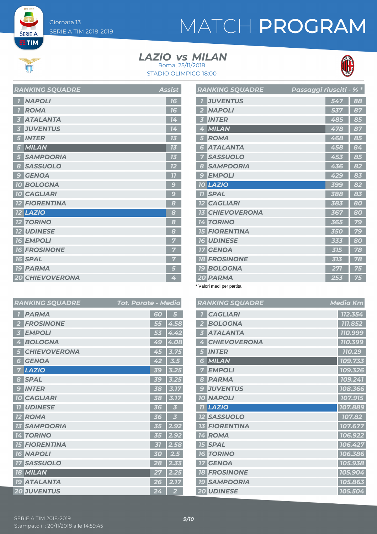**SERIE A ETIM** 

# MATCH PROGRAM

#### *LAZIO MILAN vs* Roma, 25/11/2018

STADIO OLIMPICO 18:00



| <b>RANKING SQUADRE</b>     | <b>Assist</b> |
|----------------------------|---------------|
| <b>NAPOLI</b>              | 16            |
| <b>ROMA</b><br>'n          | 16            |
| <b>ATALANTA</b>            | 14            |
| <b>JUVENTUS</b>            | 14            |
| <b>INTER</b>               | 73            |
| <b>MILAN</b>               | 13            |
| <b>SAMPDORIA</b><br>5      | 73            |
| <b>SASSUOLO</b><br>8       | 12            |
| <b>GENOA</b><br>$\epsilon$ | 77            |
| <b>10 BOLOGNA</b>          | 9             |
| <b>10 CAGLIARI</b>         | g             |
| <b>12 FIORENTINA</b>       | 8             |
| <b>12 LAZIO</b>            | 8             |
| <b>12 TORINO</b>           | 8             |
| <b>12 UDINESE</b>          | 8             |
| <b>16 EMPOLI</b>           | 7             |
| <b>16 FROSINONE</b>        | 7             |
| <b>16 SPAL</b>             | 7             |
| <b>19 PARMA</b>            | 5             |
| <b>20 CHIEVOVERONA</b>     | 4             |

| <b>RANKING SQUADRE</b>                    | Passaggi riusciti - % * |     |    |
|-------------------------------------------|-------------------------|-----|----|
| <b>JUVENTUS</b>                           |                         | 547 | 88 |
| <b>NAPOLI</b>                             |                         | 537 | 87 |
| <b>INTER</b>                              |                         | 485 | 85 |
| <b>MILAN</b>                              |                         | 478 | 87 |
| <b>ROMA</b>                               |                         | 468 | 85 |
| <b>ATALANTA</b><br>G                      |                         | 458 | 84 |
| <b>SASSUOLO</b>                           |                         | 453 | 85 |
| <b>SAMPDORIA</b><br>8                     |                         | 436 | 82 |
| <b>EMPOLI</b><br>$\overline{\mathcal{C}}$ |                         | 429 | 83 |
| <b>LAZIO</b><br>70                        |                         | 399 | 82 |
| <b>SPAL</b><br>77                         |                         | 388 | 83 |
| <b>CAGLIARI</b><br>$12 \overline{ }$      |                         | 383 | 80 |
| <b>CHIEVOVERONA</b>                       |                         | 367 | 80 |
| <b>TORINO</b><br>4                        |                         | 365 | 79 |
| <b>FIORENTINA</b><br>15                   |                         | 350 | 79 |
| <b>UDINESE</b><br>76                      |                         | 333 | 80 |
| <b>GENOA</b>                              |                         | 315 | 78 |
| <b>FROSINONE</b><br>18                    |                         | 313 | 78 |
| <b>BOLOGNA</b><br><b>19</b>               |                         | 271 | 75 |
| 20 PARMA                                  |                         | 253 | 75 |

\* Valori medi per partita.

|   | <b>RANKING SQUADRE</b> | <b>Media Km</b> |
|---|------------------------|-----------------|
|   | <b>CAGLIARI</b>        | 112.354         |
|   | <b>BOLOGNA</b>         | 111.852         |
|   | <b>ATALANTA</b>        | 110.999         |
|   | <b>CHIEVOVERONA</b>    | 110.399         |
|   | <b>INTER</b>           | 110.29          |
| 6 | MILAN                  | 109.733         |
|   | <b>EMPOLI</b>          | 109.326         |
| 8 | <b>PARMA</b>           | 109.241         |
| 9 | <b>JUVENTUS</b>        | 108.366         |
|   | <b>10 NAPOLI</b>       | 107.915         |
|   | <b>11 LAZIO</b>        | 107.889         |
|   | <b>12 SASSUOLO</b>     | 107.82          |
|   | <b>FIORENTINA</b>      | 107.677         |
|   | <b>14 ROMA</b>         | 106.922         |
|   | <b>15 SPAL</b>         | 106.427         |
|   | <b>16 TORINO</b>       | 106.386         |
|   | <b>17 GENOA</b>        | 105.938         |
|   | <b>18 FROSINONE</b>    | 105.904         |
|   | <b>19 SAMPDORIA</b>    | 105.863         |
|   | <b>20 UDINESE</b>      | 105.504         |

|                | <b>RANKING SQUADRE</b> | Tot. Parate - Media |                  |
|----------------|------------------------|---------------------|------------------|
| 7              | <b>PARMA</b>           | 60                  | 5                |
| $\overline{2}$ | <b>FROSINONE</b>       | 55                  | 4.58             |
| 3              | <b>EMPOLI</b>          | 53                  | 4.42             |
| 4              | <b>BOLOGNA</b>         | 49                  | 4.08             |
| 5              | <b>CHIEVOVERONA</b>    | 45                  | 3.7              |
| 6              | <b>GENOA</b>           | 42                  | 3.5              |
| 7              | <b>LAZIO</b>           | 39                  | 3.25             |
| 8              | <b>SPAL</b>            | 39                  | 3.25             |
| 9              | <b>INTER</b>           | 38                  | 3.17             |
|                | <b>10 CAGLIARI</b>     | 38                  | $\overline{3.1}$ |
| 11             | <b>UDINESE</b>         | 3<br>6              |                  |
| 12             | <b>ROMA</b>            | 36                  | 3                |
| 13             | <b>SAMPDORIA</b>       | 35                  | 2.92             |
| 14             | <b>TORINO</b>          | 35                  | 2.92             |
| <b>15</b>      | <b>FIORENTINA</b>      | 31                  | 2.58             |
|                | <b>16 NAPOLI</b>       | 30                  | 2.5 <sub>1</sub> |
| 17             | <b>SASSUOLO</b>        | 28                  | 2.33             |
|                | <b>18 MILAN</b>        | 27                  | 2.25             |
|                | <b>19 ATALANTA</b>     | 26                  | 2.17             |
|                | <b>20 JUVENTUS</b>     | 24                  | $\overline{2}$   |